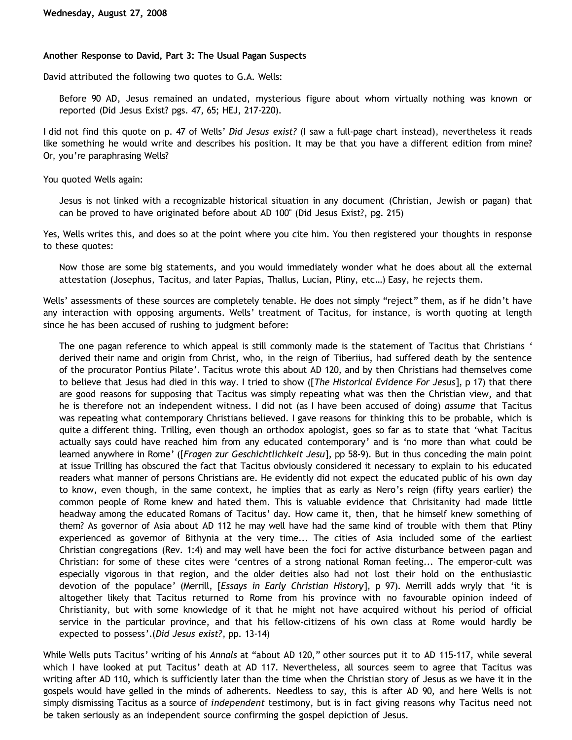# **Another Response to David, Part 3: The Usual Pagan Suspects**

David attributed the following two quotes to G.A. Wells:

Before 90 AD, Jesus remained an undated, mysterious figure about whom virtually nothing was known or reported (Did Jesus Exist? pgs. 47, 65; HEJ, 217-220).

I did not find this quote on p. 47 of Wells' *Did Jesus exist?* (I saw a full-page chart instead), nevertheless it reads like something he would write and describes his position. It may be that you have a different edition from mine? Or, you're paraphrasing Wells?

You quoted Wells again:

Jesus is not linked with a recognizable historical situation in any document (Christian, Jewish or pagan) that can be proved to have originated before about AD 100" (Did Jesus Exist?, pg. 215)

Yes, Wells writes this, and does so at the point where you cite him. You then registered your thoughts in response to these quotes:

Now those are some big statements, and you would immediately wonder what he does about all the external attestation (Josephus, Tacitus, and later Papias, Thallus, Lucian, Pliny, etc…) Easy, he rejects them.

Wells' assessments of these sources are completely tenable. He does not simply "reject" them, as if he didn't have any interaction with opposing arguments. Wells' treatment of Tacitus, for instance, is worth quoting at length since he has been accused of rushing to judgment before:

The one pagan reference to which appeal is still commonly made is the statement of Tacitus that Christians ' derived their name and origin from Christ, who, in the reign of Tiberiius, had suffered death by the sentence of the procurator Pontius Pilate'. Tacitus wrote this about AD 120, and by then Christians had themselves come to believe that Jesus had died in this way. I tried to show ([*The Historical Evidence For Jesus*], p 17) that there are good reasons for supposing that Tacitus was simply repeating what was then the Christian view, and that he is therefore not an independent witness. I did not (as I have been accused of doing) *assume* that Tacitus was repeating what contemporary Christians believed. I gave reasons for thinking this to be probable, which is quite a different thing. Trilling, even though an orthodox apologist, goes so far as to state that 'what Tacitus actually says could have reached him from any educated contemporary' and is 'no more than what could be learned anywhere in Rome' ([*Fragen zur Geschichtlichkeit Jesu*], pp 58-9). But in thus conceding the main point at issue Trilling has obscured the fact that Tacitus obviously considered it necessary to explain to his educated readers what manner of persons Christians are. He evidently did not expect the educated public of his own day to know, even though, in the same context, he implies that as early as Nero's reign (fifty years earlier) the common people of Rome knew and hated them. This is valuable evidence that Chrisitanity had made little headway among the educated Romans of Tacitus' day. How came it, then, that he himself knew something of them? As governor of Asia about AD 112 he may well have had the same kind of trouble with them that Pliny experienced as governor of Bithynia at the very time... The cities of Asia included some of the earliest Christian congregations (Rev. 1:4) and may well have been the foci for active disturbance between pagan and Christian: for some of these cites were 'centres of a strong national Roman feeling... The emperor-cult was especially vigorous in that region, and the older deities also had not lost their hold on the enthusiastic devotion of the populace' (Merrill, [*Essays in Early Christian History*], p 97). Merrill adds wryly that 'it is altogether likely that Tacitus returned to Rome from his province with no favourable opinion indeed of Christianity, but with some knowledge of it that he might not have acquired without his period of official service in the particular province, and that his fellow-citizens of his own class at Rome would hardly be expected to possess'.(*Did Jesus exist?*, pp. 13-14)

While Wells puts Tacitus' writing of his *Annals* at "about AD 120," other sources put it to AD 115-117, while several which I have looked at put Tacitus' death at AD 117. Nevertheless, all sources seem to agree that Tacitus was writing after AD 110, which is sufficiently later than the time when the Christian story of Jesus as we have it in the gospels would have gelled in the minds of adherents. Needless to say, this is after AD 90, and here Wells is not simply dismissing Tacitus as a source of *independent* testimony, but is in fact giving reasons why Tacitus need not be taken seriously as an independent source confirming the gospel depiction of Jesus.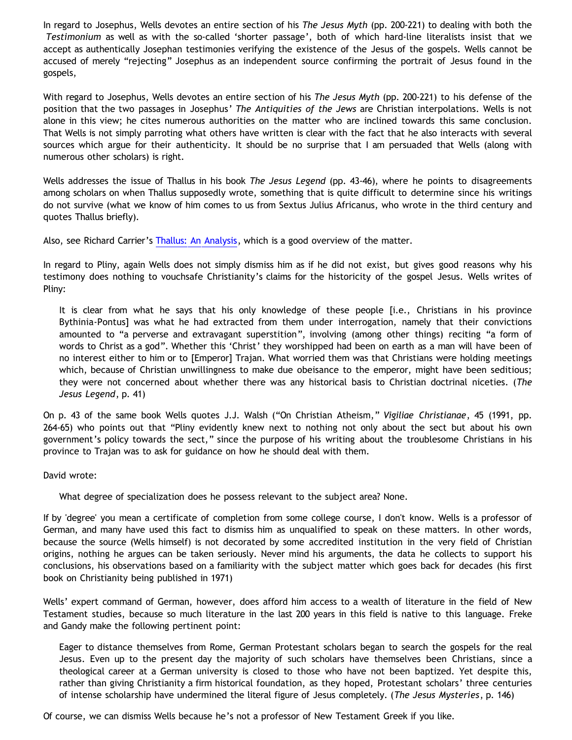In regard to Josephus, Wells devotes an entire section of his *The Jesus Myth* (pp. 200-221) to dealing with both the *Testimonium* as well as with the so-called 'shorter passage', both of which hard-line literalists insist that we accept as authentically Josephan testimonies verifying the existence of the Jesus of the gospels. Wells cannot be accused of merely "rejecting" Josephus as an independent source confirming the portrait of Jesus found in the gospels,

With regard to Josephus, Wells devotes an entire section of his *The Jesus Myth* (pp. 200-221) to his defense of the position that the two passages in Josephus' *The Antiquities of the Jews* are Christian interpolations. Wells is not alone in this view; he cites numerous authorities on the matter who are inclined towards this same conclusion. That Wells is not simply parroting what others have written is clear with the fact that he also interacts with several sources which argue for their authenticity. It should be no surprise that I am persuaded that Wells (along with numerous other scholars) is right.

Wells addresses the issue of Thallus in his book *The Jesus Legend* (pp. 43-46), where he points to disagreements among scholars on when Thallus supposedly wrote, something that is quite difficult to determine since his writings do not survive (what we know of him comes to us from Sextus Julius Africanus, who wrote in the third century and quotes Thallus briefly).

Also, see Richard Carrier's [Thallus: An Analysis](http://www.infidels.org/library/modern/richard_carrier/thallus.html), which is a good overview of the matter.

In regard to Pliny, again Wells does not simply dismiss him as if he did not exist, but gives good reasons why his testimony does nothing to vouchsafe Christianity's claims for the historicity of the gospel Jesus. Wells writes of Pliny:

It is clear from what he says that his only knowledge of these people [i.e., Christians in his province Bythinia-Pontus] was what he had extracted from them under interrogation, namely that their convictions amounted to "a perverse and extravagant superstition", involving (among other things) reciting "a form of words to Christ as a god". Whether this 'Christ' they worshipped had been on earth as a man will have been of no interest either to him or to [Emperor] Trajan. What worried them was that Christians were holding meetings which, because of Christian unwillingness to make due obeisance to the emperor, might have been seditious; they were not concerned about whether there was any historical basis to Christian doctrinal niceties. (*The Jesus Legend*, p. 41)

On p. 43 of the same book Wells quotes J.J. Walsh ("On Christian Atheism," *Vigiliae Christianae*, 45 (1991, pp. 264-65) who points out that "Pliny evidently knew next to nothing not only about the sect but about his own government's policy towards the sect," since the purpose of his writing about the troublesome Christians in his province to Trajan was to ask for guidance on how he should deal with them.

David wrote:

What degree of specialization does he possess relevant to the subject area? None.

If by 'degree' you mean a certificate of completion from some college course, I don't know. Wells is a professor of German, and many have used this fact to dismiss him as unqualified to speak on these matters. In other words, because the source (Wells himself) is not decorated by some accredited institution in the very field of Christian origins, nothing he argues can be taken seriously. Never mind his arguments, the data he collects to support his conclusions, his observations based on a familiarity with the subject matter which goes back for decades (his first book on Christianity being published in 1971)

Wells' expert command of German, however, does afford him access to a wealth of literature in the field of New Testament studies, because so much literature in the last 200 years in this field is native to this language. Freke and Gandy make the following pertinent point:

Eager to distance themselves from Rome, German Protestant scholars began to search the gospels for the real Jesus. Even up to the present day the majority of such scholars have themselves been Christians, since a theological career at a German university is closed to those who have not been baptized. Yet despite this, rather than giving Christianity a firm historical foundation, as they hoped, Protestant scholars' three centuries of intense scholarship have undermined the literal figure of Jesus completely. (*The Jesus Mysteries*, p. 146)

Of course, we can dismiss Wells because he's not a professor of New Testament Greek if you like.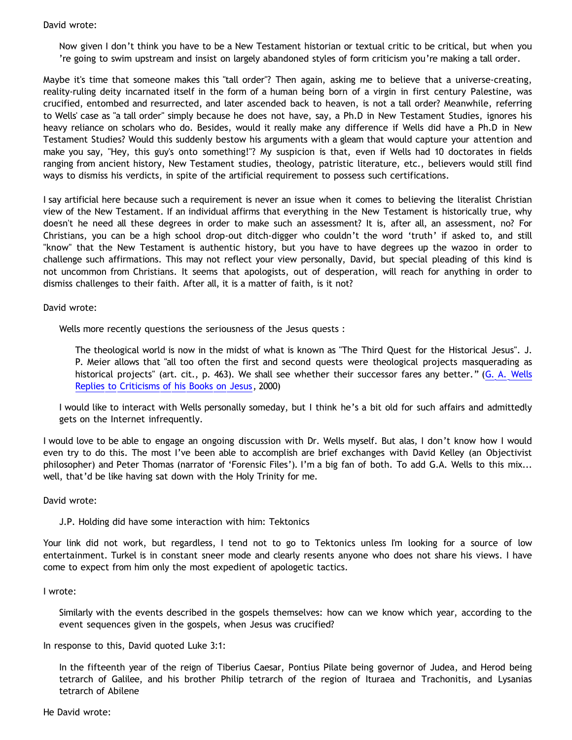## David wrote:

Now given I don't think you have to be a New Testament historian or textual critic to be critical, but when you 're going to swim upstream and insist on largely abandoned styles of form criticism you're making a tall order.

Maybe it's time that someone makes this "tall order"? Then again, asking me to believe that a universe-creating, reality-ruling deity incarnated itself in the form of a human being born of a virgin in first century Palestine, was crucified, entombed and resurrected, and later ascended back to heaven, is not a tall order? Meanwhile, referring to Wells' case as "a tall order" simply because he does not have, say, a Ph.D in New Testament Studies, ignores his heavy reliance on scholars who do. Besides, would it really make any difference if Wells did have a Ph.D in New Testament Studies? Would this suddenly bestow his arguments with a gleam that would capture your attention and make you say, "Hey, this guy's onto something!"? My suspicion is that, even if Wells had 10 doctorates in fields ranging from ancient history, New Testament studies, theology, patristic literature, etc., believers would still find ways to dismiss his verdicts, in spite of the artificial requirement to possess such certifications.

I say artificial here because such a requirement is never an issue when it comes to believing the literalist Christian view of the New Testament. If an individual affirms that everything in the New Testament is historically true, why doesn't he need all these degrees in order to make such an assessment? It is, after all, an assessment, no? For Christians, you can be a high school drop-out ditch-digger who couldn't the word 'truth' if asked to, and still "know" that the New Testament is authentic history, but you have to have degrees up the wazoo in order to challenge such affirmations. This may not reflect your view personally, David, but special pleading of this kind is not uncommon from Christians. It seems that apologists, out of desperation, will reach for anything in order to dismiss challenges to their faith. After all, it is a matter of faith, is it not?

David wrote:

Wells more recently questions the seriousness of the Jesus quests :

The theological world is now in the midst of what is known as "The Third Quest for the Historical Jesus". J. P. Meier allows that "all too often the first and second quests were theological projects masquerading as historical projects" (art. cit., p. 463). We shall see whether their successor fares any better." ([G. A. Wells](http://www.infidels.org/library/modern/g_a_wells/errant.html) [Replies to Criticisms of his Books on Jesus,](http://www.infidels.org/library/modern/g_a_wells/errant.html) 2000)

I would like to interact with Wells personally someday, but I think he's a bit old for such affairs and admittedly gets on the Internet infrequently.

I would love to be able to engage an ongoing discussion with Dr. Wells myself. But alas, I don't know how I would even try to do this. The most I've been able to accomplish are brief exchanges with David Kelley (an Objectivist philosopher) and Peter Thomas (narrator of 'Forensic Files'). I'm a big fan of both. To add G.A. Wells to this mix... well, that'd be like having sat down with the Holy Trinity for me.

David wrote:

J.P. Holding did have some interaction with him: Tektonics

Your link did not work, but regardless, I tend not to go to Tektonics unless I'm looking for a source of low entertainment. Turkel is in constant sneer mode and clearly resents anyone who does not share his views. I have come to expect from him only the most expedient of apologetic tactics.

I wrote:

Similarly with the events described in the gospels themselves: how can we know which year, according to the event sequences given in the gospels, when Jesus was crucified?

In response to this, David quoted Luke 3:1:

In the fifteenth year of the reign of Tiberius Caesar, Pontius Pilate being governor of Judea, and Herod being tetrarch of Galilee, and his brother Philip tetrarch of the region of Ituraea and Trachonitis, and Lysanias tetrarch of Abilene

He David wrote: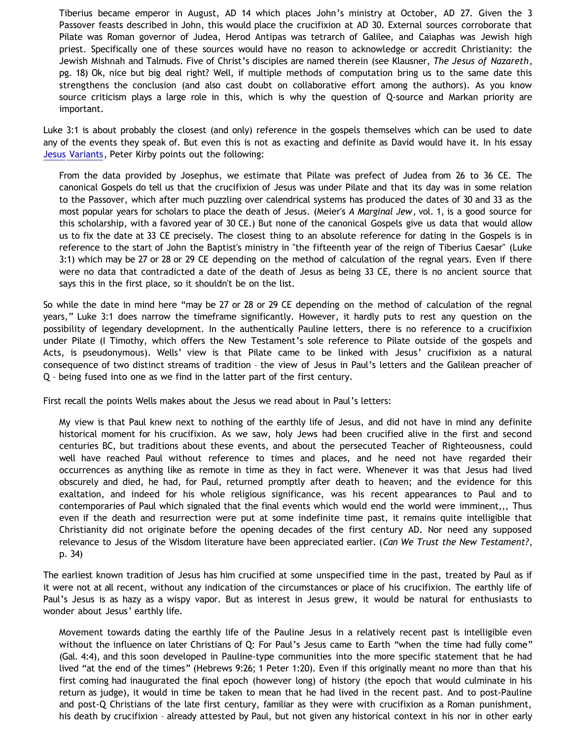Tiberius became emperor in August, AD 14 which places John's ministry at October, AD 27. Given the 3 Passover feasts described in John, this would place the crucifixion at AD 30. External sources corroborate that Pilate was Roman governor of Judea, Herod Antipas was tetrarch of Galilee, and Caiaphas was Jewish high priest. Specifically one of these sources would have no reason to acknowledge or accredit Christianity: the Jewish Mishnah and Talmuds. Five of Christ's disciples are named therein (see Klausner, *The Jesus of Nazareth*, pg. 18) Ok, nice but big deal right? Well, if multiple methods of computation bring us to the same date this strengthens the conclusion (and also cast doubt on collaborative effort among the authors). As you know source criticism plays a large role in this, which is why the question of Q-source and Markan priority are important.

Luke 3:1 is about probably the closest (and only) reference in the gospels themselves which can be used to date any of the events they speak of. But even this is not as exacting and definite as David would have it. In his essay [Jesus Variants](http://www.christianorigins.com/variants.html), Peter Kirby points out the following:

From the data provided by Josephus, we estimate that Pilate was prefect of Judea from 26 to 36 CE. The canonical Gospels do tell us that the crucifixion of Jesus was under Pilate and that its day was in some relation to the Passover, which after much puzzling over calendrical systems has produced the dates of 30 and 33 as the most popular years for scholars to place the death of Jesus. (Meier's *A Marginal Jew*, vol. 1, is a good source for this scholarship, with a favored year of 30 CE.) But none of the canonical Gospels give us data that would allow us to fix the date at 33 CE precisely. The closest thing to an absolute reference for dating in the Gospels is in reference to the start of John the Baptist's ministry in "the fifteenth year of the reign of Tiberius Caesar" (Luke 3:1) which may be 27 or 28 or 29 CE depending on the method of calculation of the regnal years. Even if there were no data that contradicted a date of the death of Jesus as being 33 CE, there is no ancient source that says this in the first place, so it shouldn't be on the list.

So while the date in mind here "may be 27 or 28 or 29 CE depending on the method of calculation of the regnal years," Luke 3:1 does narrow the timeframe significantly. However, it hardly puts to rest any question on the possibility of legendary development. In the authentically Pauline letters, there is no reference to a crucifixion under Pilate (I Timothy, which offers the New Testament's sole reference to Pilate outside of the gospels and Acts, is pseudonymous). Wells' view is that Pilate came to be linked with Jesus' crucifixion as a natural consequence of two distinct streams of tradition – the view of Jesus in Paul's letters and the Galilean preacher of Q – being fused into one as we find in the latter part of the first century.

First recall the points Wells makes about the Jesus we read about in Paul's letters:

My view is that Paul knew next to nothing of the earthly life of Jesus, and did not have in mind any definite historical moment for his crucifixion. As we saw, holy Jews had been crucified alive in the first and second centuries BC, but traditions about these events, and about the persecuted Teacher of Righteousness, could well have reached Paul without reference to times and places, and he need not have regarded their occurrences as anything like as remote in time as they in fact were. Whenever it was that Jesus had lived obscurely and died, he had, for Paul, returned promptly after death to heaven; and the evidence for this exaltation, and indeed for his whole religious significance, was his recent appearances to Paul and to contemporaries of Paul which signaled that the final events which would end the world were imminent,,, Thus even if the death and resurrection were put at some indefinite time past, it remains quite intelligible that Christianity did not originate before the opening decades of the first century AD. Nor need any supposed relevance to Jesus of the Wisdom literature have been appreciated earlier. (*Can We Trust the New Testament?*, p. 34)

The earliest known tradition of Jesus has him crucified at some unspecified time in the past, treated by Paul as if it were not at all recent, without any indication of the circumstances or place of his crucifixion. The earthly life of Paul's Jesus is as hazy as a wispy vapor. But as interest in Jesus grew, it would be natural for enthusiasts to wonder about Jesus' earthly life.

Movement towards dating the earthly life of the Pauline Jesus in a relatively recent past is intelligible even without the influence on later Christians of Q: For Paul's Jesus came to Earth "when the time had fully come" (Gal. 4:4), and this soon developed in Pauline-type communities into the more specific statement that he had lived "at the end of the times" (Hebrews 9:26; 1 Peter 1:20). Even if this originally meant no more than that his first coming had inaugurated the final epoch (however long) of history (the epoch that would culminate in his return as judge), it would in time be taken to mean that he had lived in the recent past. And to post-Pauline and post-Q Christians of the late first century, familiar as they were with crucifixion as a Roman punishment, his death by crucifixion – already attested by Paul, but not given any historical context in his nor in other early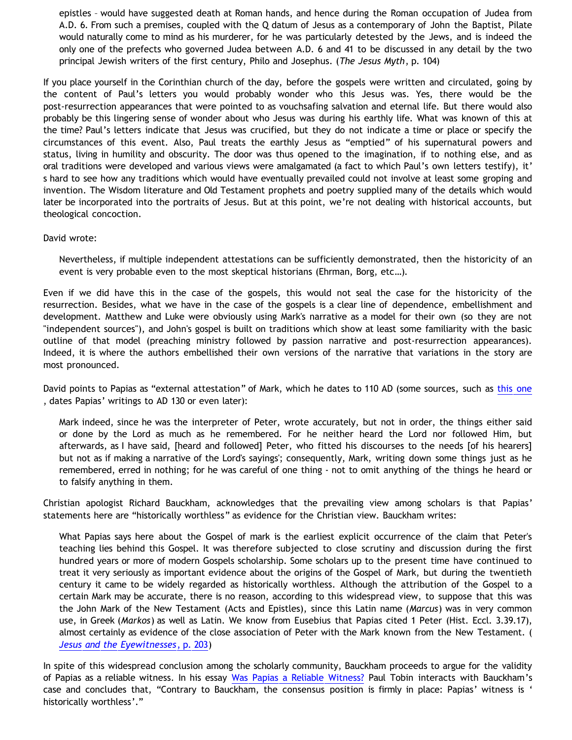epistles – would have suggested death at Roman hands, and hence during the Roman occupation of Judea from A.D. 6. From such a premises, coupled with the Q datum of Jesus as a contemporary of John the Baptist, Pilate would naturally come to mind as his murderer, for he was particularly detested by the Jews, and is indeed the only one of the prefects who governed Judea between A.D. 6 and 41 to be discussed in any detail by the two principal Jewish writers of the first century, Philo and Josephus. (*The Jesus Myth*, p. 104)

If you place yourself in the Corinthian church of the day, before the gospels were written and circulated, going by the content of Paul's letters you would probably wonder who this Jesus was. Yes, there would be the post-resurrection appearances that were pointed to as vouchsafing salvation and eternal life. But there would also probably be this lingering sense of wonder about who Jesus was during his earthly life. What was known of this at the time? Paul's letters indicate that Jesus was crucified, but they do not indicate a time or place or specify the circumstances of this event. Also, Paul treats the earthly Jesus as "emptied" of his supernatural powers and status, living in humility and obscurity. The door was thus opened to the imagination, if to nothing else, and as oral traditions were developed and various views were amalgamated (a fact to which Paul's own letters testify), it' s hard to see how any traditions which would have eventually prevailed could not involve at least some groping and invention. The Wisdom literature and Old Testament prophets and poetry supplied many of the details which would later be incorporated into the portraits of Jesus. But at this point, we're not dealing with historical accounts, but theological concoction.

## David wrote:

Nevertheless, if multiple independent attestations can be sufficiently demonstrated, then the historicity of an event is very probable even to the most skeptical historians (Ehrman, Borg, etc…).

Even if we did have this in the case of the gospels, this would not seal the case for the historicity of the resurrection. Besides, what we have in the case of the gospels is a clear line of dependence, embellishment and development. Matthew and Luke were obviously using Mark's narrative as a model for their own (so they are not "independent sources"), and John's gospel is built on traditions which show at least some familiarity with the basic outline of that model (preaching ministry followed by passion narrative and post-resurrection appearances). Indeed, it is where the authors embellished their own versions of the narrative that variations in the story are most pronounced.

David points to Papias as "external attestation" of Mark, which he dates to 110 AD (some sources, such as [this one](http://www.earlychurch.org.uk/papias.php) , dates Papias' writings to AD 130 or even later):

Mark indeed, since he was the interpreter of Peter, wrote accurately, but not in order, the things either said or done by the Lord as much as he remembered. For he neither heard the Lord nor followed Him, but afterwards, as I have said, [heard and followed] Peter, who fitted his discourses to the needs [of his hearers] but not as if making a narrative of the Lord's sayings'; consequently, Mark, writing down some things just as he remembered, erred in nothing; for he was careful of one thing - not to omit anything of the things he heard or to falsify anything in them.

Christian apologist Richard Bauckham, acknowledges that the prevailing view among scholars is that Papias' statements here are "historically worthless" as evidence for the Christian view. Bauckham writes:

What Papias says here about the Gospel of mark is the earliest explicit occurrence of the claim that Peter's teaching lies behind this Gospel. It was therefore subjected to close scrutiny and discussion during the first hundred years or more of modern Gospels scholarship. Some scholars up to the present time have continued to treat it very seriously as important evidence about the origins of the Gospel of Mark, but during the twentieth century it came to be widely regarded as historically worthless. Although the attribution of the Gospel to a certain Mark may be accurate, there is no reason, according to this widespread view, to suppose that this was the John Mark of the New Testament (Acts and Epistles), since this Latin name (*Marcus*) was in very common use, in Greek (*Markos*) as well as Latin. We know from Eusebius that Papias cited 1 Peter (Hist. Eccl. 3.39.17), almost certainly as evidence of the close association of Peter with the Mark known from the New Testament. ( *[Jesus and the Eyewitnesses](http://books.google.com/books?id=ybOa_w8PCcQC&pg=PA437&lpg=PA437&dq=eusebius+papias&source=web&ots=WrJV0Kr5ja&sig=pTDYkraW8_E-_c61P7MiezO-_fc&hl=en&sa=X&oi=book_result&resnum=8&ct=result)*[, p. 203](http://books.google.com/books?id=ybOa_w8PCcQC&pg=PA437&lpg=PA437&dq=eusebius+papias&source=web&ots=WrJV0Kr5ja&sig=pTDYkraW8_E-_c61P7MiezO-_fc&hl=en&sa=X&oi=book_result&resnum=8&ct=result))

In spite of this widespread conclusion among the scholarly community, Bauckham proceeds to argue for the validity of Papias as a reliable witness. In his essay [Was Papias a Reliable Witness?](http://www.geocities.com/paulntobin/papias.html) Paul Tobin interacts with Bauckham's case and concludes that, "Contrary to Bauckham, the consensus position is firmly in place: Papias' witness is ' historically worthless'."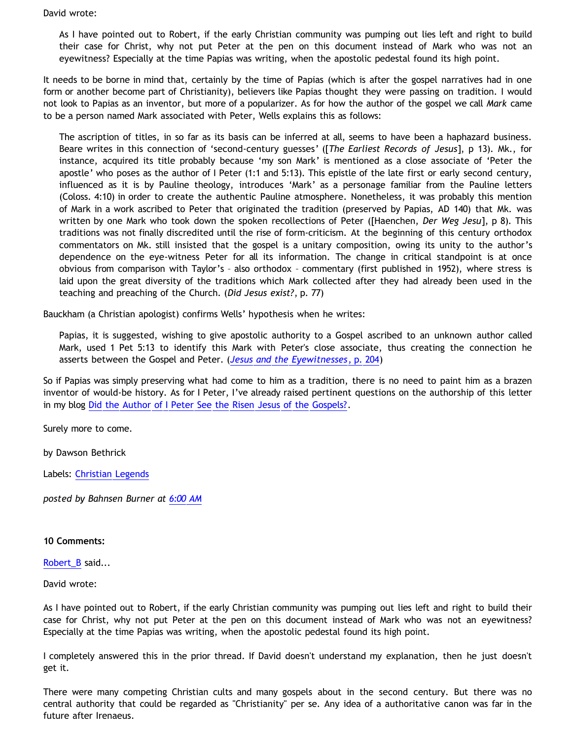David wrote:

As I have pointed out to Robert, if the early Christian community was pumping out lies left and right to build their case for Christ, why not put Peter at the pen on this document instead of Mark who was not an eyewitness? Especially at the time Papias was writing, when the apostolic pedestal found its high point.

It needs to be borne in mind that, certainly by the time of Papias (which is after the gospel narratives had in one form or another become part of Christianity), believers like Papias thought they were passing on tradition. I would not look to Papias as an inventor, but more of a popularizer. As for how the author of the gospel we call *Mark* came to be a person named Mark associated with Peter, Wells explains this as follows:

The ascription of titles, in so far as its basis can be inferred at all, seems to have been a haphazard business. Beare writes in this connection of 'second-century guesses' ([*The Earliest Records of Jesus*], p 13). Mk., for instance, acquired its title probably because 'my son Mark' is mentioned as a close associate of 'Peter the apostle' who poses as the author of I Peter (1:1 and 5:13). This epistle of the late first or early second century, influenced as it is by Pauline theology, introduces 'Mark' as a personage familiar from the Pauline letters (Coloss. 4:10) in order to create the authentic Pauline atmosphere. Nonetheless, it was probably this mention of Mark in a work ascribed to Peter that originated the tradition (preserved by Papias, AD 140) that Mk. was written by one Mark who took down the spoken recollections of Peter ([Haenchen, *Der Weg Jesu*], p 8). This traditions was not finally discredited until the rise of form-criticism. At the beginning of this century orthodox commentators on Mk. still insisted that the gospel is a unitary composition, owing its unity to the author's dependence on the eye-witness Peter for all its information. The change in critical standpoint is at once obvious from comparison with Taylor's – also orthodox – commentary (first published in 1952), where stress is laid upon the great diversity of the traditions which Mark collected after they had already been used in the teaching and preaching of the Church. (*Did Jesus exist?*, p. 77)

Bauckham (a Christian apologist) confirms Wells' hypothesis when he writes:

Papias, it is suggested, wishing to give apostolic authority to a Gospel ascribed to an unknown author called Mark, used 1 Pet 5:13 to identify this Mark with Peter's close associate, thus creating the connection he asserts between the Gospel and Peter. (*[Jesus and the Eyewitnesses](http://books.google.com/books?id=ybOa_w8PCcQC&pg=PA437&lpg=PA437&dq=eusebius+papias&source=web&ots=WrJV0Kr5ja&sig=pTDYkraW8_E-_c61P7MiezO-_fc&hl=en&sa=X&oi=book_result&resnum=8&ct=result)*[, p. 204](http://books.google.com/books?id=ybOa_w8PCcQC&pg=PA437&lpg=PA437&dq=eusebius+papias&source=web&ots=WrJV0Kr5ja&sig=pTDYkraW8_E-_c61P7MiezO-_fc&hl=en&sa=X&oi=book_result&resnum=8&ct=result))

So if Papias was simply preserving what had come to him as a tradition, there is no need to paint him as a brazen inventor of would-be history. As for I Peter, I've already raised pertinent questions on the authorship of this letter in my blog [Did the Author of I Peter See the Risen Jesus of the Gospels?](http://bahnsenburner.blogspot.com/2006/05/did-author-of-i-peter-see-risen-jesus.html).

Surely more to come.

by Dawson Bethrick

Labels: [Christian Legends](http://bahnsenburner.blogspot.com/search/label/Christian%20Legends)

*posted by Bahnsen Burner at [6:00 AM](http://bahnsenburner.blogspot.com/2008/08/another-response-to-david-part-3-usual.html)*

## **10 Comments:**

[Robert\\_B](http://www.blogger.com/profile/03469718358131331499) said...

David wrote:

As I have pointed out to Robert, if the early Christian community was pumping out lies left and right to build their case for Christ, why not put Peter at the pen on this document instead of Mark who was not an eyewitness? Especially at the time Papias was writing, when the apostolic pedestal found its high point.

I completely answered this in the prior thread. If David doesn't understand my explanation, then he just doesn't get it.

There were many competing Christian cults and many gospels about in the second century. But there was no central authority that could be regarded as "Christianity" per se. Any idea of a authoritative canon was far in the future after Irenaeus.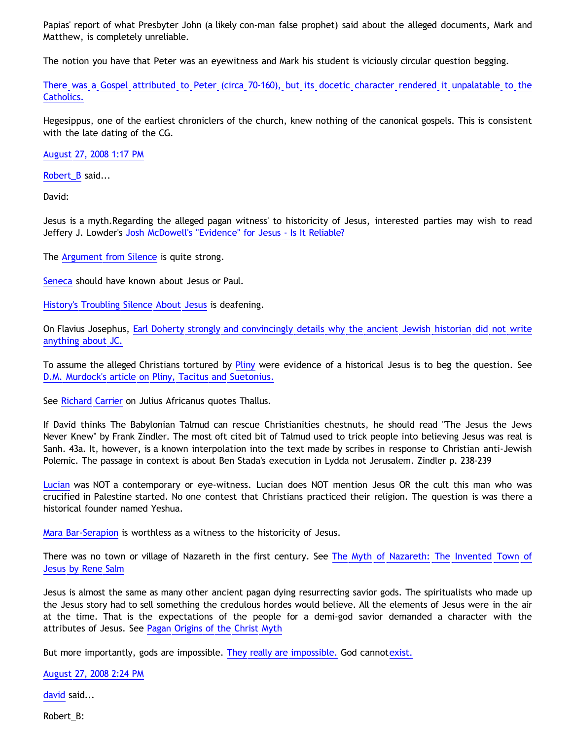Papias' report of what Presbyter John (a likely con-man false prophet) said about the alleged documents, Mark and Matthew, is completely unreliable.

The notion you have that Peter was an eyewitness and Mark his student is viciously circular question begging.

[There was a Gospel attributed to Peter \(circa 70-160\), but its docetic character rendered it unpalatable to the](http://www.earlychristianwritings.com/gospelpeter.html) [Catholics.](http://www.earlychristianwritings.com/gospelpeter.html)

Hegesippus, one of the earliest chroniclers of the church, knew nothing of the canonical gospels. This is consistent with the late dating of the CG.

[August 27, 2008 1:17 PM](http://bahnsenburner.blogspot.com/2008/08/6578082696253764325)

Robert B said...

David:

Jesus is a myth.Regarding the alleged pagan witness' to historicity of Jesus, interested parties may wish to read Jeffery J. Lowder's [Josh McDowell's "Evidence" for Jesus - Is It Reliable?](http://www.infidels.org/library/modern/jeff_lowder/jury/chap5.html)

The [Argument from Silence](http://www.positiveatheism.org/hist/rmsbrg02.htm) is quite strong.

[Seneca](http://www.jesusneverexisted.com/seneca.html) should have known about Jesus or Paul.

[History's Troubling Silence About Jesus](http://www.dissidentvoice.org/Oct04/Salisbury1012.htm) is deafening.

On Flavius Josephus, [Earl Doherty strongly and convincingly details why the ancient Jewish historian did not write](http://jesuspuzzle.humanists.net/supp10.htm) [anything about JC.](http://jesuspuzzle.humanists.net/supp10.htm)

To assume the alleged Christians tortured by [Pliny](http://www.jesusneverexisted.com/josephus-etal.html) were evidence of a historical Jesus is to beg the question. See [D.M. Murdock's article on Pliny, Tacitus and Suetonius.](http://www.truthbeknown.com/pliny.htm)

See [Richard Carrier](http://www.infidels.org/library/modern/richard_carrier/thallus.html) on Julius Africanus quotes Thallus.

If David thinks The Babylonian Talmud can rescue Christianities chestnuts, he should read "The Jesus the Jews Never Knew" by Frank Zindler. The most oft cited bit of Talmud used to trick people into believing Jesus was real is Sanh. 43a. It, however, is a known interpolation into the text made by scribes in response to Christian anti-Jewish Polemic. The passage in context is about Ben Stada's execution in Lydda not Jerusalem. Zindler p. 238-239

[Lucian](http://www.rationalresponders.com/forum/rook_hawkins/the_jesus_mythicist_campaign/567) was NOT a contemporary or eye-witness. Lucian does NOT mention Jesus OR the cult this man who was crucified in Palestine started. No one contest that Christians practiced their religion. The question is was there a historical founder named Yeshua.

[Mara Bar-Serapion](http://www.infidels.org/library/modern/jeff_lowder/jury/chap5.htmlmara%20Mara%20Bar-Serapion) is worthless as a witness to the historicity of Jesus.

There was no town or village of Nazareth in the first century. See [The Myth of Nazareth: The Invented Town of](http://www.nazarethmyth.info/) [Jesus by Rene Salm](http://www.nazarethmyth.info/)

Jesus is almost the same as many other ancient pagan dying resurrecting savior gods. The spiritualists who made up the Jesus story had to sell something the credulous hordes would believe. All the elements of Jesus were in the air at the time. That is the expectations of the people for a demi-god savior demanded a character with the attributes of Jesus. See [Pagan Origins of the Christ Myth](http://www.pocm.info/)

But more importantly, gods are impossible. [They really are impossible.](http://www.strongatheism.net/library/atheology/argument_from_noncognitivism/) God cannot[exist.](http://www.strongatheism.net/library/atheology/materialist_apologetics/)

[August 27, 2008 2:24 PM](http://bahnsenburner.blogspot.com/2008/08/5135160761097525359)

[david](http://www.blogger.com/profile/08071763988772047093) said...

Robert\_B: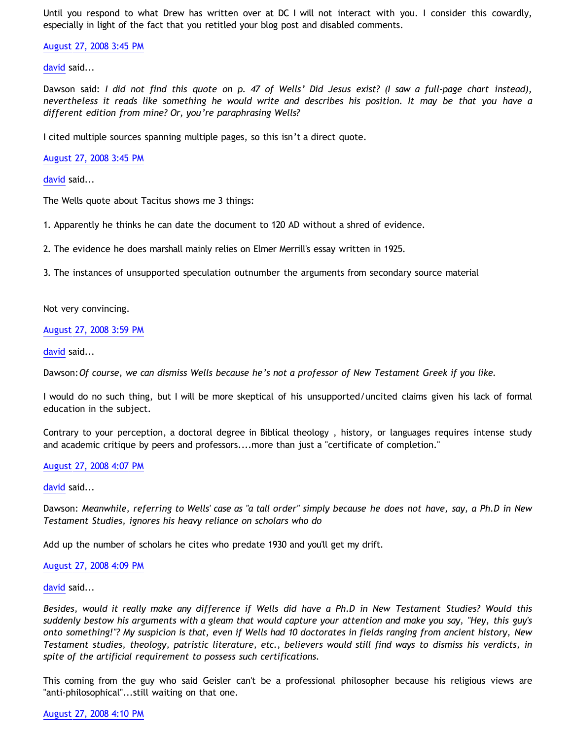Until you respond to what Drew has written over at DC I will not interact with you. I consider this cowardly, especially in light of the fact that you retitled your blog post and disabled comments.

[August 27, 2008 3:45 PM](http://bahnsenburner.blogspot.com/2008/08/4058228594217833315)

[david](http://www.blogger.com/profile/08071763988772047093) said...

Dawson said: *I did not find this quote on p. 47 of Wells' Did Jesus exist? (I saw a full-page chart instead), nevertheless it reads like something he would write and describes his position. It may be that you have a different edition from mine? Or, you're paraphrasing Wells?*

I cited multiple sources spanning multiple pages, so this isn't a direct quote.

[August 27, 2008 3:45 PM](http://bahnsenburner.blogspot.com/2008/08/1402121584465737121)

[david](http://www.blogger.com/profile/08071763988772047093) said...

The Wells quote about Tacitus shows me 3 things:

1. Apparently he thinks he can date the document to 120 AD without a shred of evidence.

2. The evidence he does marshall mainly relies on Elmer Merrill's essay written in 1925.

3. The instances of unsupported speculation outnumber the arguments from secondary source material

Not very convincing.

[August 27, 2008 3:59 PM](http://bahnsenburner.blogspot.com/2008/08/1711083625122564689)

[david](http://www.blogger.com/profile/08071763988772047093) said...

Dawson:*Of course, we can dismiss Wells because he's not a professor of New Testament Greek if you like.*

I would do no such thing, but I will be more skeptical of his unsupported/uncited claims given his lack of formal education in the subject.

Contrary to your perception, a doctoral degree in Biblical theology , history, or languages requires intense study and academic critique by peers and professors....more than just a "certificate of completion."

## [August 27, 2008 4:07 PM](http://bahnsenburner.blogspot.com/2008/08/5513397457462241440)

[david](http://www.blogger.com/profile/08071763988772047093) said...

Dawson: *Meanwhile, referring to Wells' case as "a tall order" simply because he does not have, say, a Ph.D in New Testament Studies, ignores his heavy reliance on scholars who do*

Add up the number of scholars he cites who predate 1930 and you'll get my drift.

#### [August 27, 2008 4:09 PM](http://bahnsenburner.blogspot.com/2008/08/7336132227752075287)

[david](http://www.blogger.com/profile/08071763988772047093) said...

*Besides, would it really make any difference if Wells did have a Ph.D in New Testament Studies? Would this suddenly bestow his arguments with a gleam that would capture your attention and make you say, "Hey, this guy's onto something!"? My suspicion is that, even if Wells had 10 doctorates in fields ranging from ancient history, New Testament studies, theology, patristic literature, etc., believers would still find ways to dismiss his verdicts, in spite of the artificial requirement to possess such certifications.*

This coming from the guy who said Geisler can't be a professional philosopher because his religious views are "anti-philosophical"...still waiting on that one.

[August 27, 2008 4:10 PM](http://bahnsenburner.blogspot.com/2008/08/4644204577879677498)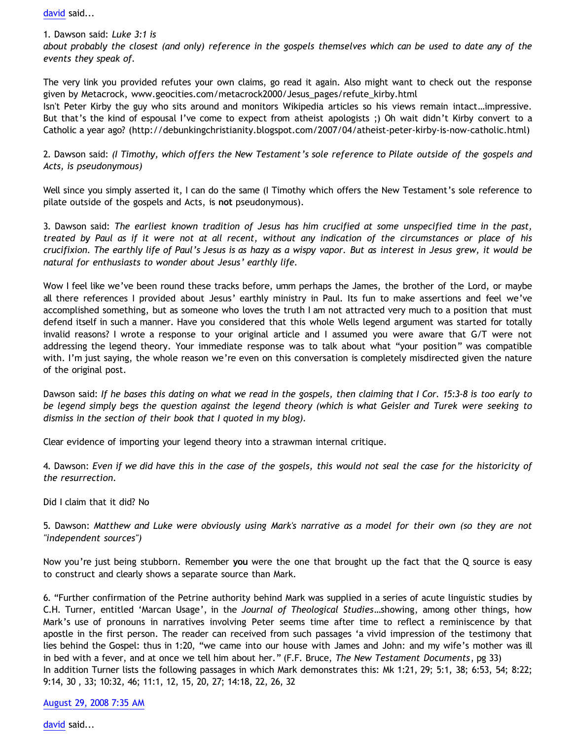[david](http://www.blogger.com/profile/08071763988772047093) said...

1. Dawson said: *Luke 3:1 is about probably the closest (and only) reference in the gospels themselves which can be used to date any of the events they speak of.*

The very link you provided refutes your own claims, go read it again. Also might want to check out the response given by Metacrock, www.geocities.com/metacrock2000/Jesus\_pages/refute\_kirby.html

Isn't Peter Kirby the guy who sits around and monitors Wikipedia articles so his views remain intact…impressive. But that's the kind of espousal I've come to expect from atheist apologists ;) Oh wait didn't Kirby convert to a Catholic a year ago? (http://debunkingchristianity.blogspot.com/2007/04/atheist-peter-kirby-is-now-catholic.html)

2. Dawson said: *(I Timothy, which offers the New Testament's sole reference to Pilate outside of the gospels and Acts, is pseudonymous)*

Well since you simply asserted it, I can do the same (I Timothy which offers the New Testament's sole reference to pilate outside of the gospels and Acts, is **not** pseudonymous).

3. Dawson said: *The earliest known tradition of Jesus has him crucified at some unspecified time in the past, treated by Paul as if it were not at all recent, without any indication of the circumstances or place of his crucifixion. The earthly life of Paul's Jesus is as hazy as a wispy vapor. But as interest in Jesus grew, it would be natural for enthusiasts to wonder about Jesus' earthly life.*

Wow I feel like we've been round these tracks before, umm perhaps the James, the brother of the Lord, or maybe all there references I provided about Jesus' earthly ministry in Paul. Its fun to make assertions and feel we've accomplished something, but as someone who loves the truth I am not attracted very much to a position that must defend itself in such a manner. Have you considered that this whole Wells legend argument was started for totally invalid reasons? I wrote a response to your original article and I assumed you were aware that G/T were not addressing the legend theory. Your immediate response was to talk about what "your position" was compatible with. I'm just saying, the whole reason we're even on this conversation is completely misdirected given the nature of the original post.

Dawson said: *If he bases this dating on what we read in the gospels, then claiming that I Cor. 15:3-8 is too early to be legend simply begs the question against the legend theory (which is what Geisler and Turek were seeking to dismiss in the section of their book that I quoted in my blog).*

Clear evidence of importing your legend theory into a strawman internal critique.

4. Dawson: *Even if we did have this in the case of the gospels, this would not seal the case for the historicity of the resurrection.*

Did I claim that it did? No

5. Dawson: *Matthew and Luke were obviously using Mark's narrative as a model for their own (so they are not "independent sources")*

Now you're just being stubborn. Remember **you** were the one that brought up the fact that the Q source is easy to construct and clearly shows a separate source than Mark.

6. "Further confirmation of the Petrine authority behind Mark was supplied in a series of acute linguistic studies by C.H. Turner, entitled 'Marcan Usage', in the *Journal of Theological Studies*…showing, among other things, how Mark's use of pronouns in narratives involving Peter seems time after time to reflect a reminiscence by that apostle in the first person. The reader can received from such passages 'a vivid impression of the testimony that lies behind the Gospel: thus in 1:20, "we came into our house with James and John: and my wife's mother was ill in bed with a fever, and at once we tell him about her." (F.F. Bruce, *The New Testament Documents*, pg 33) In addition Turner lists the following passages in which Mark demonstrates this: Mk 1:21, 29; 5:1, 38; 6:53, 54; 8:22; 9:14, 30 , 33; 10:32, 46; 11:1, 12, 15, 20, 27; 14:18, 22, 26, 32

[August 29, 2008 7:35 AM](http://bahnsenburner.blogspot.com/2008/08/5096834039356615484)

[david](http://www.blogger.com/profile/08071763988772047093) said...